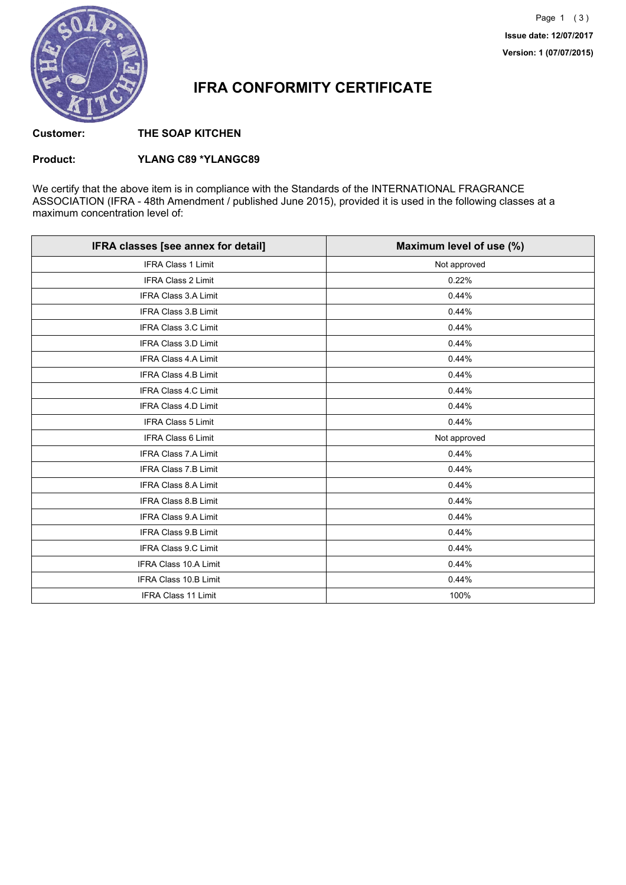

### **IFRA CONFORMITY CERTIFICATE**

**Customer: THE SOAP KITCHEN**

#### **Product: YLANG C89 \*YLANGC89**

We certify that the above item is in compliance with the Standards of the INTERNATIONAL FRAGRANCE ASSOCIATION (IFRA - 48th Amendment / published June 2015), provided it is used in the following classes at a maximum concentration level of:

| IFRA classes [see annex for detail] | Maximum level of use (%) |
|-------------------------------------|--------------------------|
| <b>IFRA Class 1 Limit</b>           | Not approved             |
| IFRA Class 2 Limit                  | 0.22%                    |
| IFRA Class 3.A Limit                | 0.44%                    |
| <b>IFRA Class 3.B Limit</b>         | 0.44%                    |
| <b>IFRA Class 3.C Limit</b>         | 0.44%                    |
| IFRA Class 3.D Limit                | 0.44%                    |
| <b>IFRA Class 4.A Limit</b>         | 0.44%                    |
| <b>IFRA Class 4.B Limit</b>         | 0.44%                    |
| <b>IFRA Class 4.C Limit</b>         | 0.44%                    |
| <b>IFRA Class 4.D Limit</b>         | 0.44%                    |
| <b>IFRA Class 5 Limit</b>           | 0.44%                    |
| <b>IFRA Class 6 Limit</b>           | Not approved             |
| <b>IFRA Class 7.A Limit</b>         | 0.44%                    |
| <b>IFRA Class 7.B Limit</b>         | 0.44%                    |
| <b>IFRA Class 8.A Limit</b>         | 0.44%                    |
| <b>IFRA Class 8.B Limit</b>         | 0.44%                    |
| <b>IFRA Class 9.A Limit</b>         | 0.44%                    |
| <b>IFRA Class 9.B Limit</b>         | 0.44%                    |
| IFRA Class 9.C Limit                | 0.44%                    |
| <b>IFRA Class 10.A Limit</b>        | 0.44%                    |
| IFRA Class 10.B Limit               | 0.44%                    |
| <b>IFRA Class 11 Limit</b>          | 100%                     |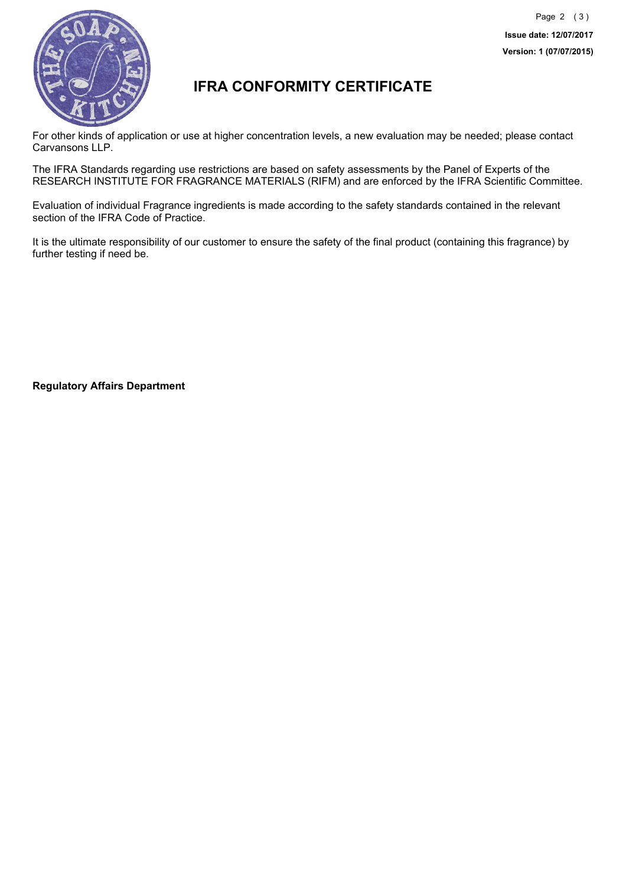

## **IFRA CONFORMITY CERTIFICATE**

For other kinds of application or use at higher concentration levels, a new evaluation may be needed; please contact Carvansons LLP.

The IFRA Standards regarding use restrictions are based on safety assessments by the Panel of Experts of the RESEARCH INSTITUTE FOR FRAGRANCE MATERIALS (RIFM) and are enforced by the IFRA Scientific Committee.

Evaluation of individual Fragrance ingredients is made according to the safety standards contained in the relevant section of the IFRA Code of Practice.

It is the ultimate responsibility of our customer to ensure the safety of the final product (containing this fragrance) by further testing if need be.

**Regulatory Affairs Department**